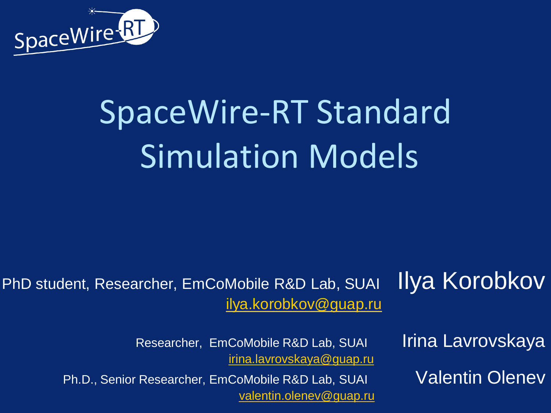

## SpaceWire-RT Standard Simulation Models

#### PhD student, Researcher, EmCoMobile R&D Lab, SUAI IIVA KOrObkOV [ilya.korobkov@guap.ru](mailto:ilya.korobkov@guap.ru)

Researcher, EmCoMobile R&D Lab, SUAI Irina Lavrovskaya [irina.lavrovskaya@guap.ru](mailto:irina.lavrovskaya@guap.ru)

Ph.D., Senior Researcher, EmCoMobile R&D Lab, SUAI Valentin Olenev [valentin.olenev@guap.ru](mailto:valentin.olenev@guap.ru)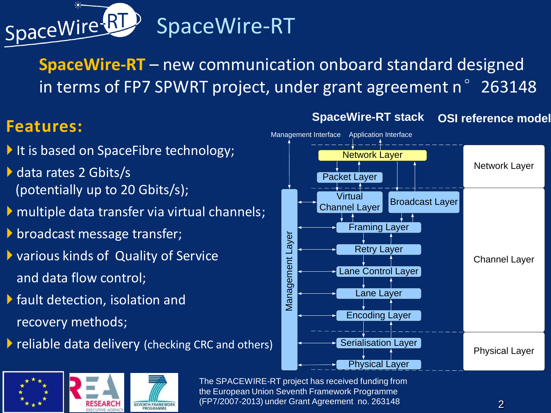

**SpaceWire-RT** – new communication onboard standard designed in terms of FP7 SPWRT project, under grant agreement n°263148

#### **Features:**

- It is based on SpaceFibre technology;
- ▶ data rates 2 Gbits/s (potentially up to 20 Gbits/s);
- multiple data transfer via virtual channels;
- **b** broadcast message transfer;
- various kinds of Quality of Service and data flow control;
- $\blacktriangleright$  fault detection, isolation and recovery methods;
- **P** reliable data delivery (checking CRC and others)



**SpaceWire-RT stack OSI reference model**



The SPACEWIRE-RT project has received funding from the European Union Seventh Framework Programme (FP7/2007-2013) under Grant Agreement no. 263148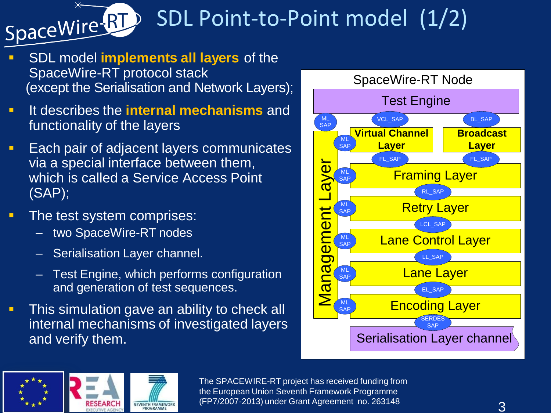

### SDL Point-to-Point model (1/2)

- SDL model **implements all layers** of the SpaceWire-RT protocol stack (except the Serialisation and Network Layers);
- **If describes the internal mechanisms** and functionality of the layers
- **Each pair of adjacent layers communicates** via a special interface between them, which is called a Service Access Point (SAP);
- **The test system comprises:** 
	- two SpaceWire-RT nodes
	- Serialisation Layer channel.
	- Test Engine, which performs configuration and generation of test sequences.
- **This simulation gave an ability to check all** internal mechanisms of investigated layers and verify them.





The SPACEWIRE-RT project has received funding from the European Union Seventh Framework Programme (FP7/2007-2013) under Grant Agreement no. 263148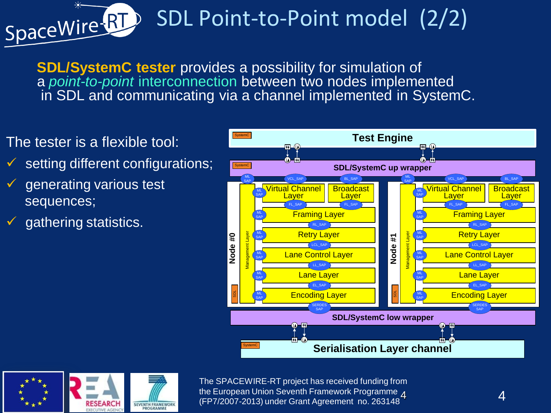

### SDL Point-to-Point model (2/2)

**SDL/SystemC tester** provides a possibility for simulation of a *point-to-point* interconnection between two nodes implemented in SDL and communicating via a channel implemented in SystemC.

- The tester is a flexible tool:
- setting different configurations;
- generating various test sequences;
- $\checkmark$  gathering statistics.





The SPACEWIRE-RT project has received funding from the European Union Seventh Framework Programme A (FP7/2007-2013) under Grant Agreement no. 263148<sup>4</sup>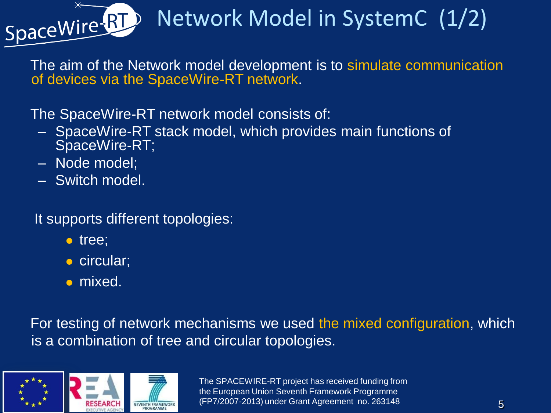

### Network Model in SystemC (1/2)

 The aim of the Network model development is to simulate communication of devices via the SpaceWire-RT network.

The SpaceWire-RT network model consists of:

- SpaceWire-RT stack model, which provides main functions of SpaceWire-RT;
- Node model;
- Switch model.

It supports different topologies:

- tree;
- circular;
- mixed.

 For testing of network mechanisms we used the mixed configuration, which is a combination of tree and circular topologies.



The SPACEWIRE-RT project has received funding from the European Union Seventh Framework Programme (FP7/2007-2013) under Grant Agreement no. 263148 5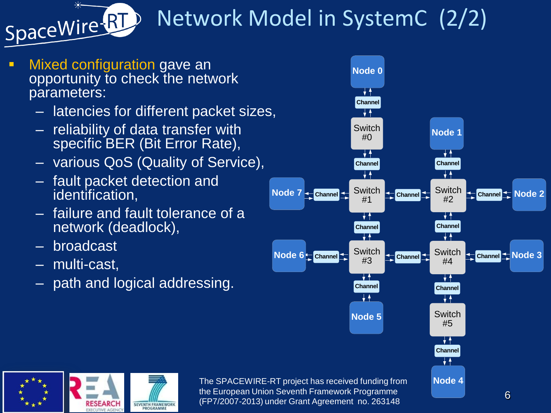

## Network Model in SystemC (2/2)

- Mixed configuration gave an opportunity to check the network parameters:
	- latencies for different packet sizes,
	- reliability of data transfer with specific BER (Bit Error Rate),
	- various QoS (Quality of Service),
	- fault packet detection and identification,
	- failure and fault tolerance of a network (deadlock),
	- broadcast
	- multi-cast,
	- path and logical addressing.



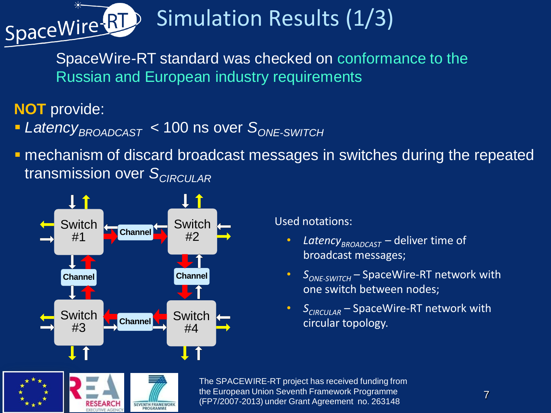

## Simulation Results (1/3)

SpaceWire-RT standard was checked on conformance to the Russian and European industry requirements

**NOT** provide:

- *LatencyBROADCAST* < 100 ns over *SONE-SWITCH*
- **n** mechanism of discard broadcast messages in switches during the repeated transmission over *SCIRCULAR*



SEVENTH FRAMEWORK

#### Used notations:

- *LatencyBROADCAST* deliver time of broadcast messages;
- *S<sub>ONE-SWITCH</sub>* SpaceWire-RT network with one switch between nodes;
- *SCIRCULAR* SpaceWire-RT network with circular topology.

The SPACEWIRE-RT project has received funding from the European Union Seventh Framework Programme the European Union Seventh Framework Programme<br>(FP7/2007-2013) under Grant Agreement no. 263148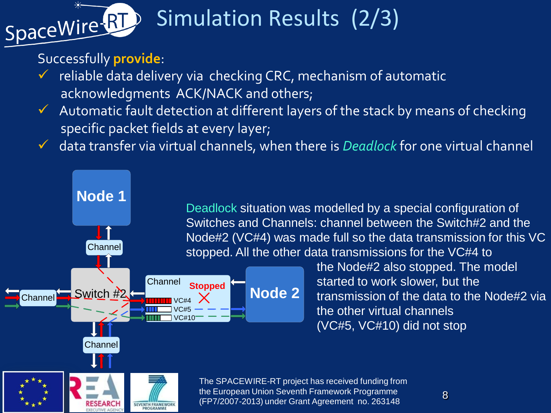

### Simulation Results (2/3)

#### Successfully **provide**:

**Channel** 

**Node 1**

- $\checkmark$  reliable data delivery via checking CRC, mechanism of automatic acknowledgments ACK/NACK and others;
- $\checkmark$  Automatic fault detection at different layers of the stack by means of checking specific packet fields at every layer;
- data transfer via virtual channels, when there is *Deadlock* for one virtual channel

Deadlock situation was modelled by a special configuration of Switches and Channels: channel between the Switch#2 and the Node#2 (VC#4) was made full so the data transmission for this VC stopped. All the other data transmissions for the VC#4 to



**SEVENTH FRAMEWORK** 

 the Node#2 also stopped. The model started to work slower, but the transmission of the data to the Node#2 via the other virtual channels (VC#5, VC#10) did not stop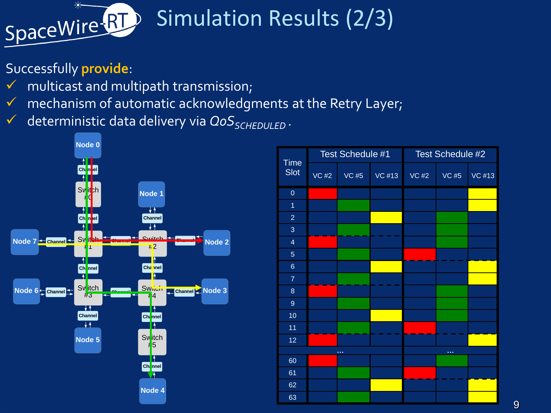

### Simulation Results (2/3)

#### Successfully **provide**:

- $\checkmark$  multicast and multipath transmission;
- $\sqrt{ }$  mechanism of automatic acknowledgments at the Retry Layer;
- deterministic data delivery via *QoSSCHEDULED .*



|        | <b>Time</b>      | Test Schedule #1 |              |        | Test Schedule #2 |              |        |
|--------|------------------|------------------|--------------|--------|------------------|--------------|--------|
|        | <b>Slot</b>      | <b>VC #2</b>     | <b>VC #5</b> | VC #13 | <b>VC #2</b>     | <b>VC #5</b> | VC #13 |
|        | $\mathbf 0$      |                  |              |        |                  |              |        |
|        | 1                |                  |              |        |                  |              |        |
|        | $\overline{2}$   |                  |              |        |                  |              |        |
| Node 2 | $\mathbf{3}$     |                  |              |        |                  |              |        |
|        | $\overline{4}$   |                  |              |        |                  |              |        |
|        | $\overline{5}$   |                  |              |        |                  |              |        |
|        | $\,$ 6 $\,$      |                  |              |        |                  |              |        |
| Node 3 | $\overline{7}$   |                  |              |        |                  |              |        |
|        | $\bf 8$          |                  |              |        |                  |              |        |
|        | $\boldsymbol{9}$ |                  |              |        |                  |              |        |
|        | 10 <sub>1</sub>  |                  |              |        |                  |              |        |
|        | 11               |                  |              |        |                  |              |        |
|        | 12               |                  |              |        |                  |              |        |
|        |                  | $\sim$           |              |        | $\sim$           |              |        |
|        | 60               |                  |              |        |                  |              |        |
|        | 61               |                  |              |        |                  |              |        |
|        | 62               |                  |              |        |                  |              |        |
|        | 63               |                  |              |        |                  |              |        |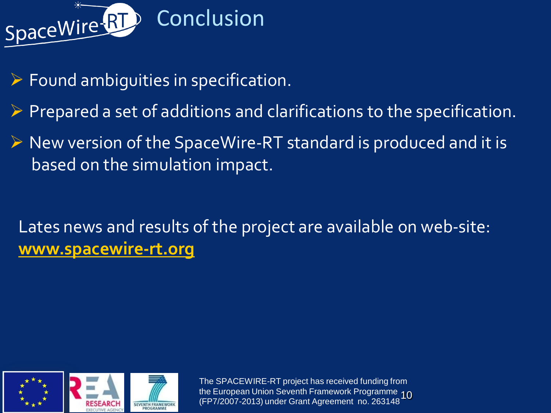

- $\triangleright$  Found ambiguities in specification.
- $\triangleright$  Prepared a set of additions and clarifications to the specification.
- $\triangleright$  New version of the SpaceWire-RT standard is produced and it is based on the simulation impact.

Lates news and results of the project are available on web-site: **[www.spacewire-rt.org](http://www.spacewire-rt.org/)**



The SPACEWIRE-RT project has received funding from the European Union Seventh Framework Programme 10<br>(FP7/2007-2013) under Grant Agreement no. 263148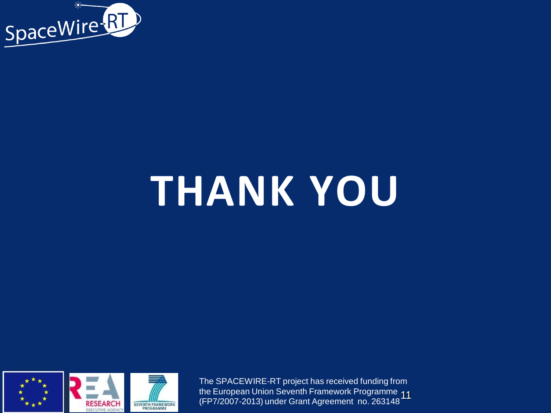

# **THANK YOU**



The SPACEWIRE-RT project has received funding from the European Union Seventh Framework Programme 11<br>(FP7/2007-2013) under Grant Agreement no. 263148